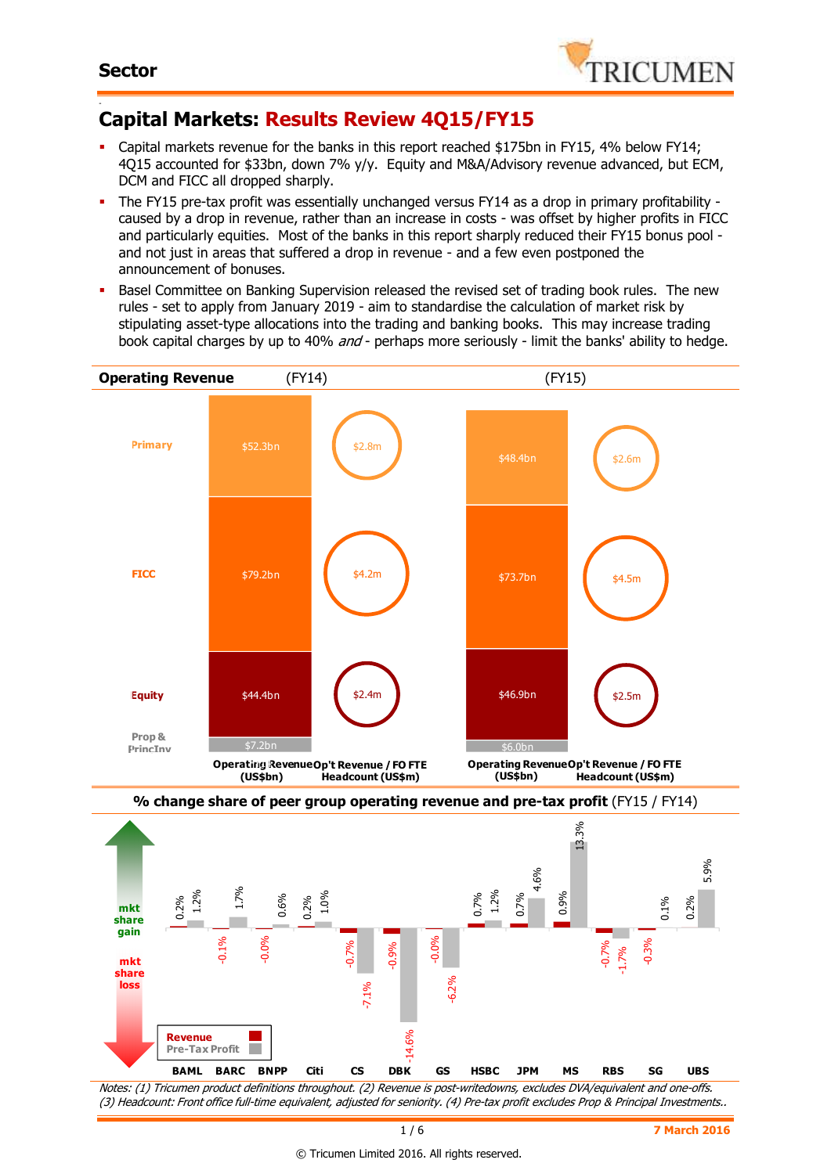

#### - **Capital Markets: Results Review 4Q15/FY15**

- Capital markets revenue for the banks in this report reached \$175bn in FY15, 4% below FY14; 4Q15 accounted for \$33bn, down 7% y/y. Equity and M&A/Advisory revenue advanced, but ECM, DCM and FICC all dropped sharply.
- The FY15 pre-tax profit was essentially unchanged versus FY14 as a drop in primary profitability caused by a drop in revenue, rather than an increase in costs - was offset by higher profits in FICC and particularly equities. Most of the banks in this report sharply reduced their FY15 bonus pool and not just in areas that suffered a drop in revenue - and a few even postponed the announcement of bonuses.
- **Basel Committee on Banking Supervision released the revised set of trading book rules.** The new rules - set to apply from January 2019 - aim to standardise the calculation of market risk by stipulating asset-type allocations into the trading and banking books. This may increase trading book capital charges by up to 40% and - perhaps more seriously - limit the banks' ability to hedge.



(3) Headcount: Front office full-time equivalent, adjusted for seniority. (4) Pre-tax profit excludes Prop & Principal Investments..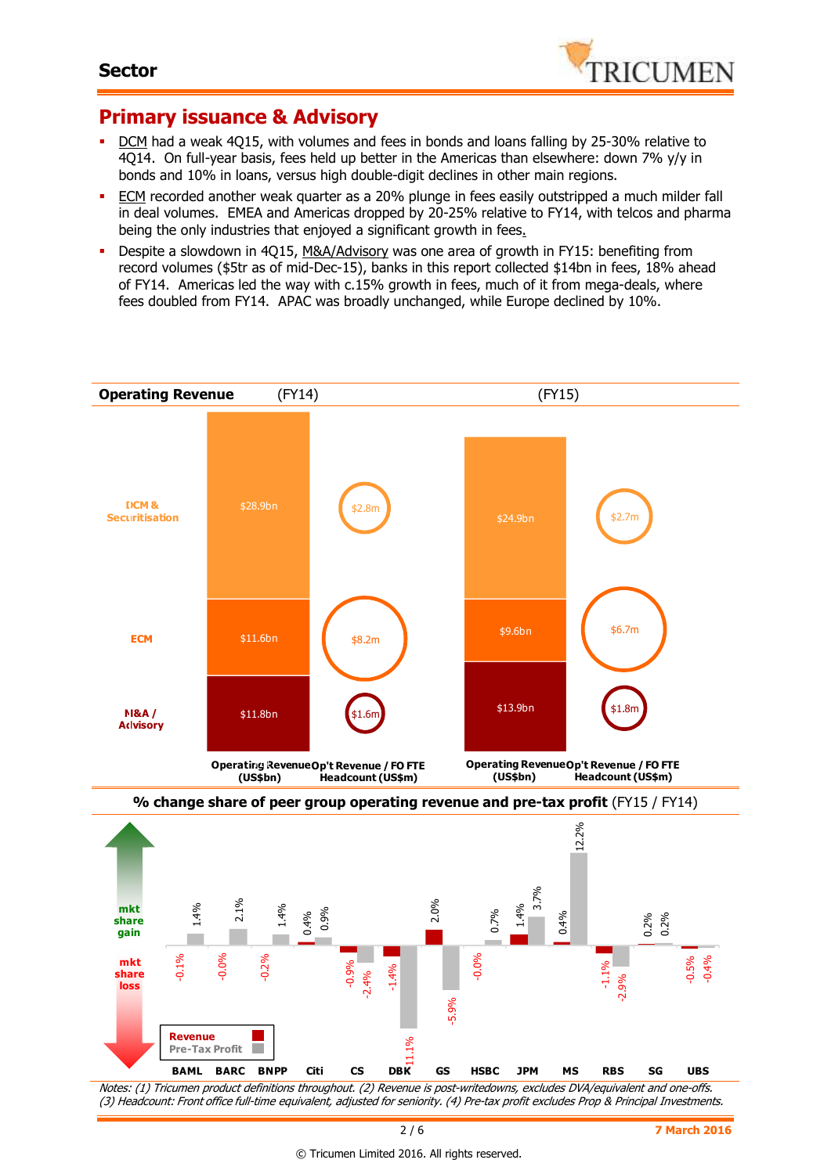

## **Primary issuance & Advisory**

- DCM had a weak 4Q15, with volumes and fees in bonds and loans falling by 25-30% relative to 4Q14. On full-year basis, fees held up better in the Americas than elsewhere: down 7% y/y in bonds and 10% in loans, versus high double-digit declines in other main regions.
- **ECM** recorded another weak quarter as a 20% plunge in fees easily outstripped a much milder fall in deal volumes. EMEA and Americas dropped by 20-25% relative to FY14, with telcos and pharma being the only industries that enjoyed a significant growth in fees.
- Despite a slowdown in 4Q15, M&A/Advisory was one area of growth in FY15: benefiting from record volumes (\$5tr as of mid-Dec-15), banks in this report collected \$14bn in fees, 18% ahead of FY14. Americas led the way with c.15% growth in fees, much of it from mega-deals, where fees doubled from FY14. APAC was broadly unchanged, while Europe declined by 10%.



Notes: (1) Tricumen product definitions throughout. (2) Revenue is post-writedowns, excludes DVA/equivalent and one-offs. (3) Headcount: Front office full-time equivalent, adjusted for seniority. (4) Pre-tax profit excludes Prop & Principal Investments.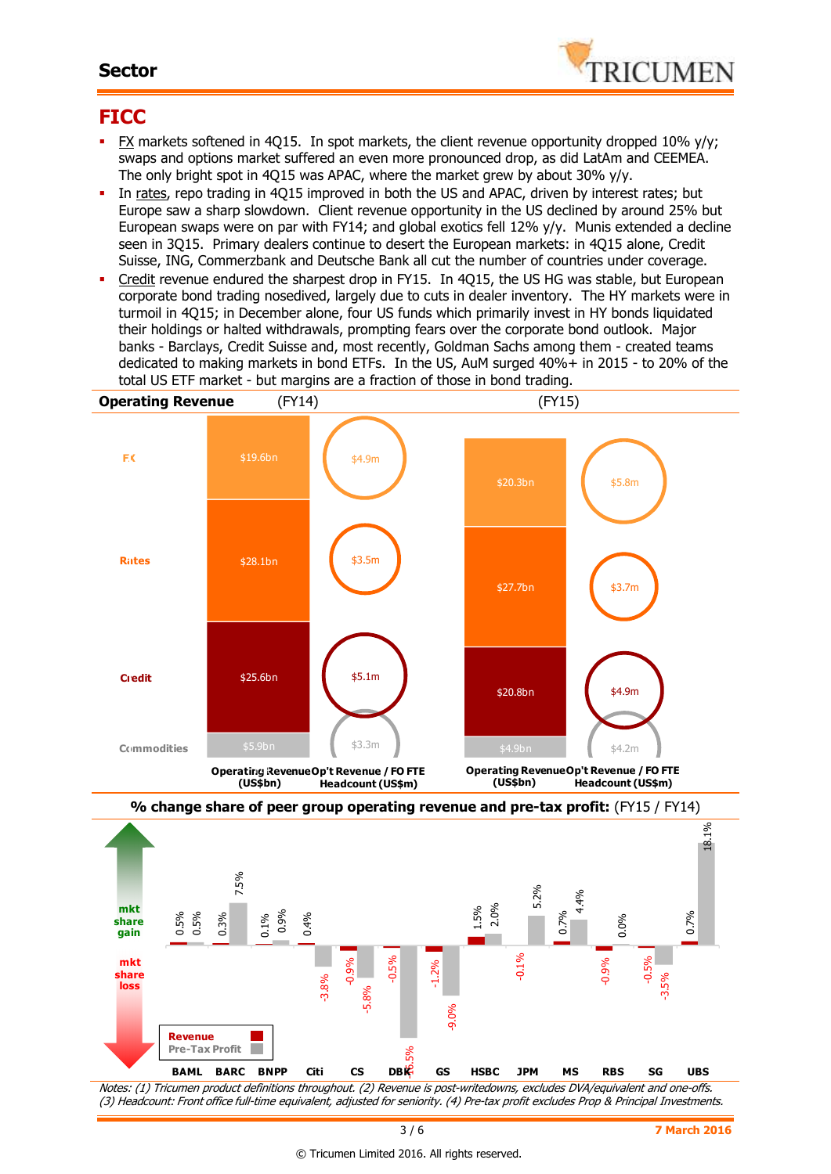### **Sector**



## **FICC**

- FX markets softened in 4Q15. In spot markets, the client revenue opportunity dropped 10% y/y; swaps and options market suffered an even more pronounced drop, as did LatAm and CEEMEA. The only bright spot in 4Q15 was APAC, where the market grew by about 30% y/y.
- In rates, repo trading in 4Q15 improved in both the US and APAC, driven by interest rates; but Europe saw a sharp slowdown. Client revenue opportunity in the US declined by around 25% but European swaps were on par with FY14; and global exotics fell 12% y/y. Munis extended a decline seen in 3Q15. Primary dealers continue to desert the European markets: in 4Q15 alone, Credit Suisse, ING, Commerzbank and Deutsche Bank all cut the number of countries under coverage.
- Credit revenue endured the sharpest drop in FY15. In 4Q15, the US HG was stable, but European corporate bond trading nosedived, largely due to cuts in dealer inventory. The HY markets were in turmoil in 4Q15; in December alone, four US funds which primarily invest in HY bonds liquidated their holdings or halted withdrawals, prompting fears over the corporate bond outlook. Major banks - Barclays, Credit Suisse and, most recently, Goldman Sachs among them - created teams dedicated to making markets in bond ETFs. In the US, AuM surged 40%+ in 2015 - to 20% of the total US ETF market - but margins are a fraction of those in bond trading.



Notes: (1) Tricumen product definitions throughout. (2) Revenue is post-writedowns, excludes DVA/equivalent and one-offs. (3) Headcount: Front office full-time equivalent, adjusted for seniority. (4) Pre-tax profit excludes Prop & Principal Investments.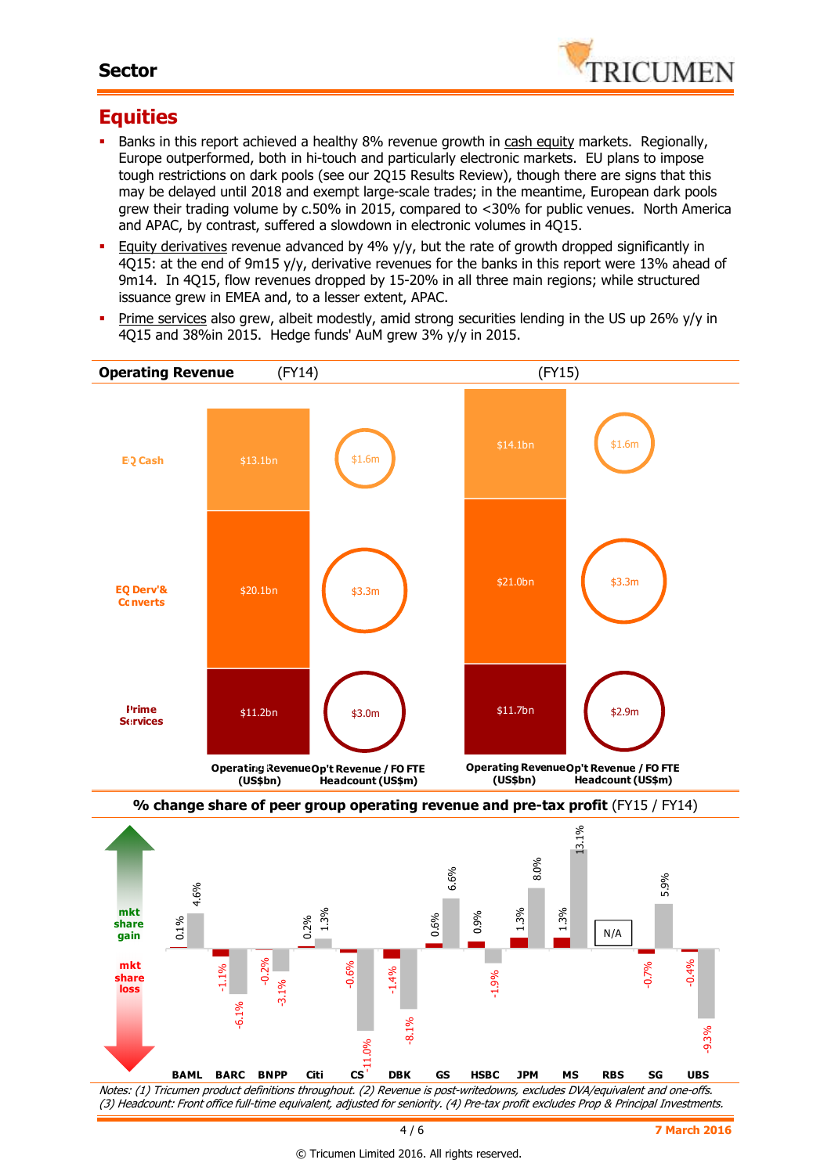### **Sector**



## **Equities**

- Banks in this report achieved a healthy 8% revenue growth in cash equity markets. Regionally, Europe outperformed, both in hi-touch and particularly electronic markets. EU plans to impose tough restrictions on dark pools (see our 2Q15 Results Review), though there are signs that this may be delayed until 2018 and exempt large-scale trades; in the meantime, European dark pools grew their trading volume by c.50% in 2015, compared to <30% for public venues. North America and APAC, by contrast, suffered a slowdown in electronic volumes in 4Q15.
- Equity derivatives revenue advanced by 4% y/y, but the rate of growth dropped significantly in 4Q15: at the end of 9m15 y/y, derivative revenues for the banks in this report were 13% ahead of 9m14. In 4Q15, flow revenues dropped by 15-20% in all three main regions; while structured issuance grew in EMEA and, to a lesser extent, APAC.
- Prime services also grew, albeit modestly, amid strong securities lending in the US up 26% y/y in 4Q15 and 38%in 2015. Hedge funds' AuM grew 3% y/y in 2015.



4 / 6 **7 March 2016**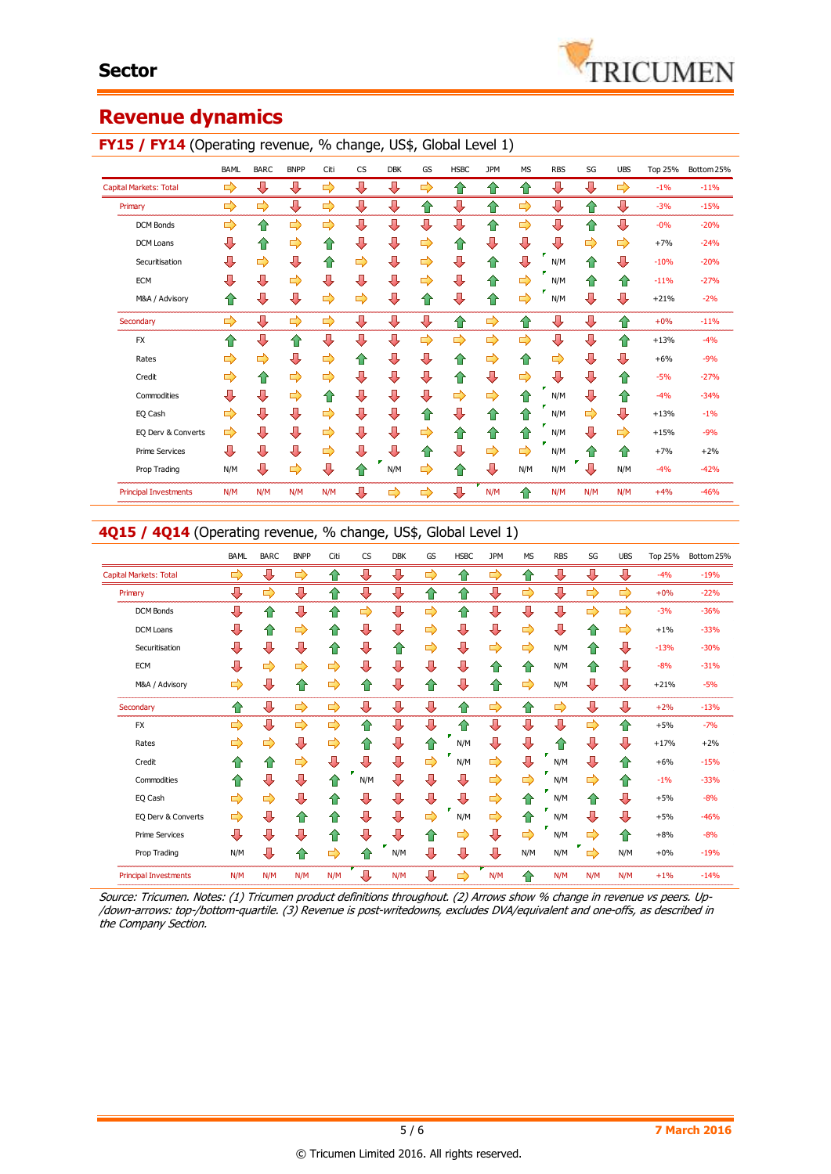# **Revenue dynamics**

#### **FY15 / FY14** (Operating revenue, % change, US\$, Global Level 1)

|                               | BAML | <b>BARC</b> | <b>BNPP</b> | Citi | CS | <b>DBK</b> | GS | <b>HSBC</b> | <b>JPM</b> | <b>MS</b> | <b>RBS</b> | SG  | <b>UBS</b> | <b>Top 25%</b> | Bottom 25% |
|-------------------------------|------|-------------|-------------|------|----|------------|----|-------------|------------|-----------|------------|-----|------------|----------------|------------|
| <b>Capital Markets: Total</b> | ⇨    | ⊕           | ⊕           | ⇨    | ⊕  | ⇩          | ⇨  | ⇧           | ⇧          | ✿         | ⇩          | ⊕   | ⇨          | $-1%$          | $-11%$     |
| Primary                       | ⇨    | ⇨           | ⊕           | ⇨    | ⇩  | ⇩          | ⇧  | ⇩           | ⇧          | ⇨         | ⇩          | ⇧   | ⊕          | $-3%$          | $-15%$     |
| <b>DCM Bonds</b>              | ⇨    | 企           | ⇨           | ⇨    | ⇩  | ⊕          | ⇩  | ⇩           | 合          | ⇨         | ⇩          | ⇧   | ⊕          | $-0%$          | $-20%$     |
| DCM Loans                     | ⇩    | ✿           | ⇨           | ⇧    | ⊕  | ⇩          | ⇨  | ⇧           | ⊕          | ⊕         | ⊕          | ⇨   | ⇨          | $+7%$          | $-24%$     |
| Securitisation                | ⇩    | ⇨           | ⊕           | ⇧    | ⇨  | ⊕          | ⇨  | ⇩           | ⇧          | ⇩         | N/M        | ⇑   | ⊕          | $-10%$         | $-20%$     |
| <b>ECM</b>                    | ⇩    | ⇩           | ⇨           | ⊕    | ⇩  | ⊕          | ⇨  | ⇩           | ⇧          | ⇨         | N/M        | ⇑   | ⇑          | $-11%$         | $-27%$     |
| M&A / Advisory                | ⇑    | ⊕           | ⊕           | ⇨    | ⇨  | ⇩          | ⇧  | ⇩           | ⇧          | ⇨         | N/M        | ⊕   | ⊕          | $+21%$         | $-2%$      |
| Secondary                     | ⇨    | ⊕           | ⇨           | ⇨    | ⇩  | ⊕          | ⊕  | ⇧           | ⇨          | ⇧         | ⇩          | ⊕   | ✿          | $+0%$          | $-11%$     |
| <b>FX</b>                     | ⇑    | ⊕           | ⇧           | ⊕    | ⊕  | ⊕          | ⇨  | ⇨           | ⇨          | ⇨         | ⇩          | ⊕   | ⇑          | $+13%$         | $-4%$      |
| Rates                         | ⇨    | ➡           | ⊕           | ⇨    | ⇧  | ⊕          | ⊕  | ⇧           | ⇨          | ⇧         | ⇨          | ⊕   | ⇩          | $+6%$          | $-9%$      |
| Credit                        | ⇨    | ✿           | ⇨           | ⇨    | ⇩  | ⊕          | ⇩  | ⇧           | ⇩          | ⇨         | ⊕          | ⊕   | ⇧          | $-5%$          | $-27%$     |
| Commodities                   | Д    | ⊕           | ⇨           | ⇮    | ⇩  | ⊕          | ⊕  | ⇨           | ⇨          | ⇑         | N/M        | ⊕   | ⇮          | $-4%$          | $-34%$     |
| EQ Cash                       | ⇨    | ⇩           | ⊕           | ⇨    | ⇩  | ⊕          | ⇧  | ⊕           | ⇧          | ⇑         | N/M        | ⇨   | ⊕          | $+13%$         | $-1%$      |
| EQ Derv & Converts            | ⇨    | ⊕           | ⇩           | ⇨    | ⇩  | ⊕          | ⇨  | ⇧           | ⇧          | ⇧         | N/M        | ⇩   | ⇨          | $+15%$         | $-9%$      |
| <b>Prime Services</b>         | ⇩    | ⊕           | ⊕           | ⇨    | ⇩  | ⊕          | ⇧  | ⇩           | ⇨          | ⇨         | N/M        | ⇑   | ⇑          | $+7%$          | $+2%$      |
| Prop Trading                  | N/M  | ⊕           | ⇨           | ⇩    | ⇧  | N/M        | ⇨  | 合           | ⊕          | N/M       | N/M        | Л   | N/M        | $-4%$          | $-42%$     |
| <b>Principal Investments</b>  | N/M  | N/M         | N/M         | N/M  | ⇩  | ⇨          | ⇨  | ⇩           | N/M        | 습         | N/M        | N/M | N/M        | $+4%$          | $-46%$     |

#### **4Q15 / 4Q14** (Operating revenue, % change, US\$, Global Level 1)

| <b>BAML</b> | <b>BARC</b> | <b>BNPP</b> | Citi      | <b>CS</b> | <b>DBK</b> | GS            | <b>HSBC</b> | <b>JPM</b> | <b>MS</b> | <b>RBS</b> | SG            | <b>UBS</b>    | <b>Top 25%</b> | Bottom 25% |
|-------------|-------------|-------------|-----------|-----------|------------|---------------|-------------|------------|-----------|------------|---------------|---------------|----------------|------------|
| ⇨           | ⊕           | ⇨           | ⇧         | ⇩         | ⊕          | ⇨             | ⇑           | ⇨          | ⇧         | ⇩          | ⊕             | ⊕             | $-4%$          | $-19%$     |
| ⇩           | ⇨           | ⇩           | ⇧         | ⊕         | ⇩          | ⇑             | ⇧           | ⊕          | ⇨         | ⇩          | $\Rightarrow$ | $\Rightarrow$ | $+0%$          | $-22%$     |
| ⇩           | ⇧           | ⊕           | $\bullet$ | ⇨         | ⇩          | ⇨             | ⇧           | ⊕          | ⊕         | ⇩          | ⇨             | ⇨             | $-3%$          | $-36%$     |
| ⇩           | 合           | ⇨           | ⇑         | ⇩         | ⊕          | ⇨             | ⇩           | ⊕          | ⇨         | ⇩          | ⇧             | ⇨             | $+1%$          | $-33%$     |
| ⇩           | ⇩           | ⊕           | ⇧         | ⊕         | ⇧          | $\Rightarrow$ | ⇩           | ⇨          | ⇨         | N/M        | ⇧             | ⇩             | $-13%$         | $-30%$     |
| ⇩           | ⇨           | ⇨           | ⇨         | ⇩         | ⇩          | ⊕             | ⇩           | ⇧          | ⇧         | N/M        | ⇧             | ⊕             | $-8%$          | $-31%$     |
| ⇨           | ⊕           | ⇧           | ⇨         | ⇮         | ⇩          | ⇑             | ⇩           | ⇧          | ⇨         | N/M        | ⇩             | ⊕             | $+21%$         | $-5%$      |
| ⇑           | ⊕           | ⇨           | ⇨         | ⇩         | ⊕          | ⊕             | ෑ           | ⇨          | ⇧         | ⇨          | ⊕             | ⊕             | $+2%$          | $-13%$     |
| ⇨           | ⊕           | ⇨           | ⇨         | ⇧         | ⊕          | ⇩             | ⇑           | ⊕          | ⊕         | ⊕          | ⇨             | ⇧             | $+5%$          | $-7%$      |
| ⇨           | ⇨           | ⊕           | ⇨         | ⇑         | ⇩          | 企             | N/M         | ⇩          | ⇩         | 仆          | ⊕             | ⊕             | $+17%$         | $+2%$      |
| ⇑           | ⇧           | ⇨           | ⊕         | ⇩         | ⊕          | ⇨             | N/M         | ⇨          | ⊕         | N/M        | ⇩             | ⇑             | $+6%$          | $-15%$     |
| ⇑           | ⊕           | ⇩           | ⇑         | N/M       | ⇩          | ⊕             | ⊕           | ⇨          | ⇨         | N/M        | ⇨             | ⇑             | $-1%$          | $-33%$     |
| ⇨           | ⇨           | ⇩           | ⇑         | ⇩         | ⇩          | ⇩             | ⊕           | ⇨          | ⇑         | N/M        | ⇧             | ⊕             | $+5%$          | $-8%$      |
| ⇨           | ⊕           | ⇧           | ⇑         | ⊕         | ⊕          | ⇨             | N/M         | ⇨          | ⇧         | N/M        | ⊕             | ⊕             | $+5%$          | $-46%$     |
| ⊕           | ⊕           | ⇩           | ⇑         | ⇩         | ⇩          | ⇧             | ⇨           | ⇩          | ⇨         | N/M        | $\Rightarrow$ | ⇑             | $+8%$          | $-8%$      |
| N/M         | ⇩           | ⇧           | ⇨         | ⇑         | N/M        | ⇩             | ⇩           | ⊕          | N/M       | N/M        | ⇨             | N/M           | $+0%$          | $-19%$     |
| N/M         | N/M         | N/M         | N/M       | ⇩         | N/M        | ⇩             | ⇨           | N/M        | ⇧         | N/M        | N/M           | N/M           | $+1%$          | $-14%$     |
|             |             |             |           |           |            |               |             |            |           |            |               |               |                |            |

Source: Tricumen. Notes: (1) Tricumen product definitions throughout. (2) Arrows show % change in revenue vs peers. Up- /down-arrows: top-/bottom-quartile. (3) Revenue is post-writedowns, excludes DVA/equivalent and one-offs, as described in the Company Section.